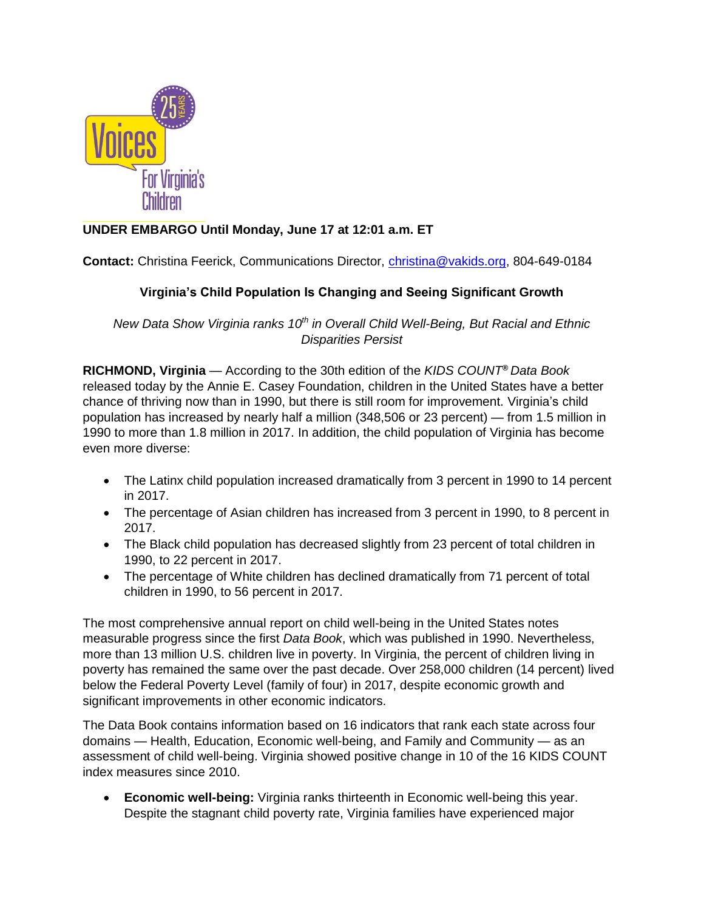

# **UNDER EMBARGO Until Monday, June 17 at 12:01 a.m. ET**

**Contact:** Christina Feerick, Communications Director, [christina@vakids.org,](mailto:christina@vakids.org) 804-649-0184

# **Virginia's Child Population Is Changing and Seeing Significant Growth**

*New Data Show Virginia ranks 10th in Overall Child Well-Being, But Racial and Ethnic Disparities Persist*

**RICHMOND, Virginia** — According to the 30th edition of the *KIDS COUNT® Data Book* released today by the Annie E. Casey Foundation, children in the United States have a better chance of thriving now than in 1990, but there is still room for improvement. Virginia's child population has increased by nearly half a million (348,506 or 23 percent) — from 1.5 million in 1990 to more than 1.8 million in 2017. In addition, the child population of Virginia has become even more diverse:

- The Latinx child population increased dramatically from 3 percent in 1990 to 14 percent in 2017.
- The percentage of Asian children has increased from 3 percent in 1990, to 8 percent in 2017.
- The Black child population has decreased slightly from 23 percent of total children in 1990, to 22 percent in 2017.
- The percentage of White children has declined dramatically from 71 percent of total children in 1990, to 56 percent in 2017.

The most comprehensive annual report on child well-being in the United States notes measurable progress since the first *Data Book*, which was published in 1990. Nevertheless, more than 13 million U.S. children live in poverty. In Virginia, the percent of children living in poverty has remained the same over the past decade. Over 258,000 children (14 percent) lived below the Federal Poverty Level (family of four) in 2017, despite economic growth and significant improvements in other economic indicators.

The Data Book contains information based on 16 indicators that rank each state across four domains — Health, Education, Economic well-being, and Family and Community — as an assessment of child well-being. Virginia showed positive change in 10 of the 16 KIDS COUNT index measures since 2010.

• **Economic well-being:** Virginia ranks thirteenth in Economic well-being this year. Despite the stagnant child poverty rate, Virginia families have experienced major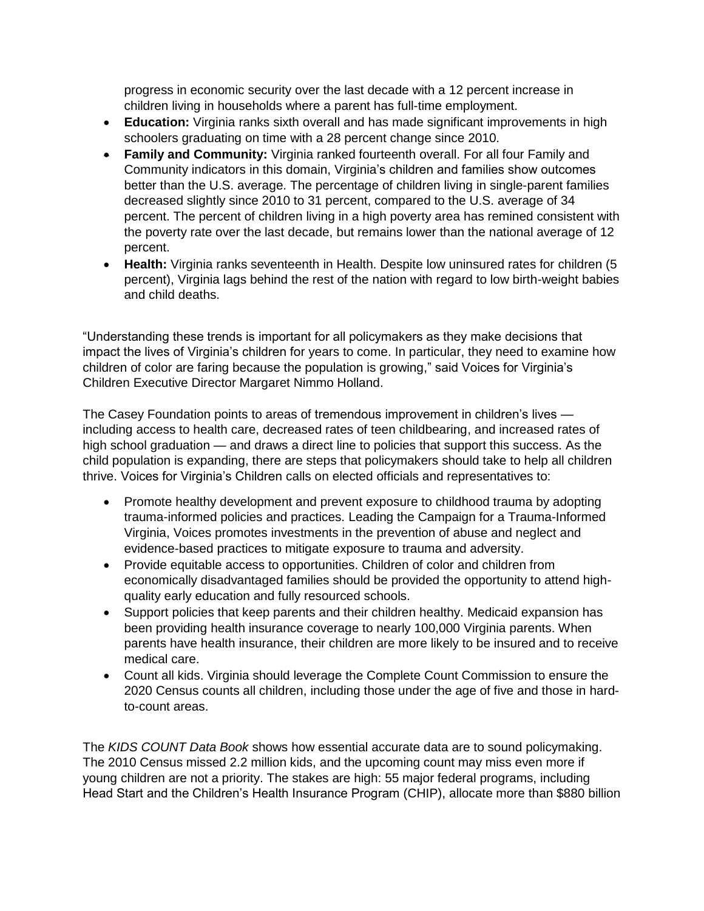progress in economic security over the last decade with a 12 percent increase in children living in households where a parent has full-time employment.

- **Education:** Virginia ranks sixth overall and has made significant improvements in high schoolers graduating on time with a 28 percent change since 2010.
- **Family and Community:** Virginia ranked fourteenth overall. For all four Family and Community indicators in this domain, Virginia's children and families show outcomes better than the U.S. average. The percentage of children living in single-parent families decreased slightly since 2010 to 31 percent, compared to the U.S. average of 34 percent. The percent of children living in a high poverty area has remined consistent with the poverty rate over the last decade, but remains lower than the national average of 12 percent.
- **Health:** Virginia ranks seventeenth in Health. Despite low uninsured rates for children (5 percent), Virginia lags behind the rest of the nation with regard to low birth-weight babies and child deaths.

"Understanding these trends is important for all policymakers as they make decisions that impact the lives of Virginia's children for years to come. In particular, they need to examine how children of color are faring because the population is growing," said Voices for Virginia's Children Executive Director Margaret Nimmo Holland.

The Casey Foundation points to areas of tremendous improvement in children's lives including access to health care, decreased rates of teen childbearing, and increased rates of high school graduation — and draws a direct line to policies that support this success. As the child population is expanding, there are steps that policymakers should take to help all children thrive. Voices for Virginia's Children calls on elected officials and representatives to:

- Promote healthy development and prevent exposure to childhood trauma by adopting trauma-informed policies and practices. Leading the Campaign for a Trauma-Informed Virginia, Voices promotes investments in the prevention of abuse and neglect and evidence-based practices to mitigate exposure to trauma and adversity.
- Provide equitable access to opportunities. Children of color and children from economically disadvantaged families should be provided the opportunity to attend highquality early education and fully resourced schools.
- Support policies that keep parents and their children healthy. Medicaid expansion has been providing health insurance coverage to nearly 100,000 Virginia parents. When parents have health insurance, their children are more likely to be insured and to receive medical care.
- Count all kids. Virginia should leverage the Complete Count Commission to ensure the 2020 Census counts all children, including those under the age of five and those in hardto-count areas.

The *KIDS COUNT Data Book* shows how essential accurate data are to sound policymaking. The 2010 Census missed 2.2 million kids, and the upcoming count may miss even more if young children are not a priority. The stakes are high: 55 major federal programs, including Head Start and the Children's Health Insurance Program (CHIP), allocate more than \$880 billion